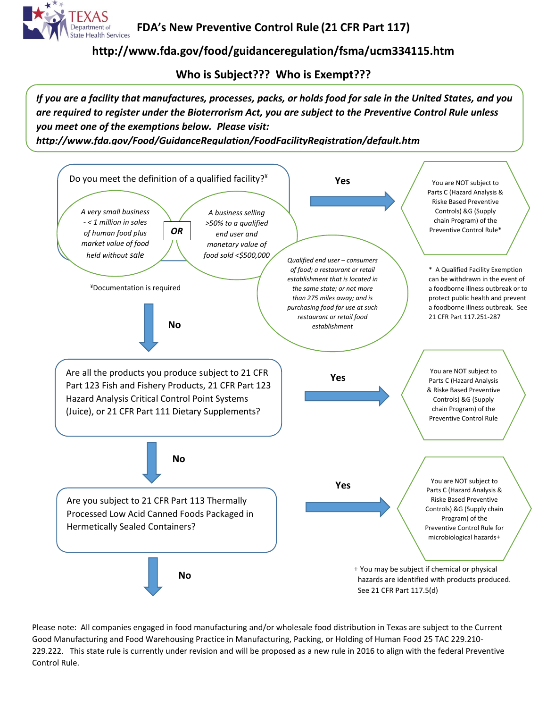

**FDA's New Preventive Control Rule (21 CFR Part 117)**

**http://www.fda.gov/food/guidanceregulation/fsma/ucm334115.htm**

**Who is Subject??? Who is Exempt???**

*If you are a facility that manufactures, processes, packs, or holds food for sale in the United States, and you are required to register under the Bioterrorism Act, you are subject to the Preventive Control Rule unless you meet one of the exemptions below. Please visit:* 

*http://www.fda.gov/Food/GuidanceRegulation/FoodFacilityRegistration/default.htm*



Please note: All companies engaged in food manufacturing and/or wholesale food distribution in Texas are subject to the Current Good Manufacturing and Food Warehousing Practice in Manufacturing, Packing, or Holding of Human Food 25 TAC 229.210- 229.222. This state rule is currently under revision and will be proposed as a new rule in 2016 to align with the federal Preventive Control Rule.